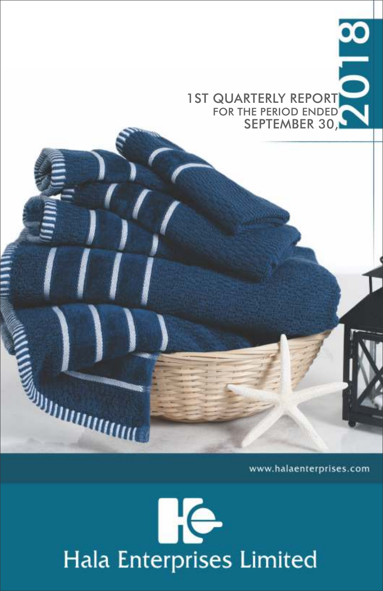$\frac{8}{10}$ 1 ST QUARTERLY REPORT SEPTEMBER 30,

www.halaenterprises.com

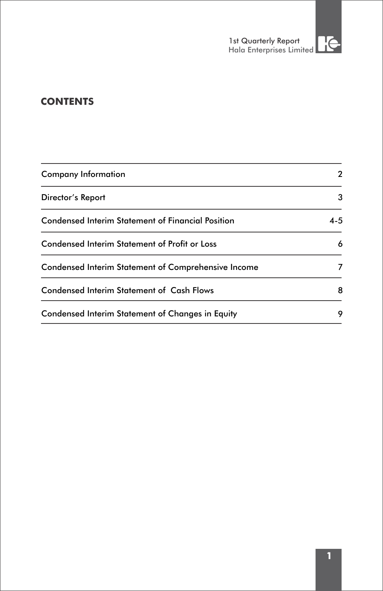# **CONTENTS**

| <b>Company Information</b>                          | 2       |  |
|-----------------------------------------------------|---------|--|
| Director's Report                                   | 3       |  |
| Condensed Interim Statement of Financial Position   | $4 - 5$ |  |
| Condensed Interim Statement of Profit or Loss       | 6       |  |
| Condensed Interim Statement of Comprehensive Income | 7       |  |
| <b>Condensed Interim Statement of Cash Flows</b>    | 8       |  |
| Condensed Interim Statement of Changes in Equity    | 9       |  |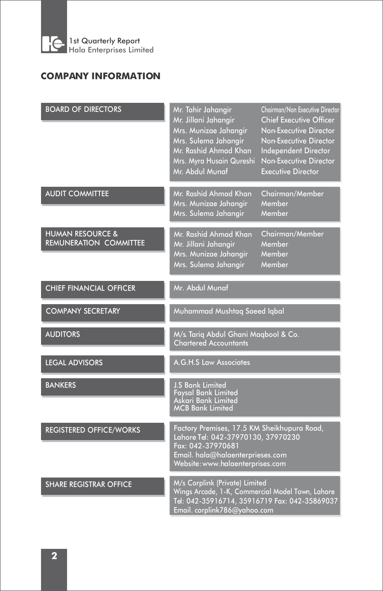

# **COMPANY INFORMATION**

| <b>BOARD OF DIRECTORS</b>                                    | Mr. Tahir Jahangir<br>Mr. Jillani Jahangir<br>Mrs. Munizae Jahangir<br>Mrs. Sulema Jahangir<br>Mr. Rashid Ahmad Khan<br>Mrs. Myra Husain Qureshi<br>Mr. Abdul Munaf            | Chairman/Non Executive Director<br><b>Chief Executive Officer</b><br>Non-Executive Director<br>Non-Executive Director<br><b>Independent Director</b><br><b>Non-Executive Director</b><br><b>Executive Director</b> |  |  |
|--------------------------------------------------------------|--------------------------------------------------------------------------------------------------------------------------------------------------------------------------------|--------------------------------------------------------------------------------------------------------------------------------------------------------------------------------------------------------------------|--|--|
| <b>AUDIT COMMITTEE</b>                                       | Mr. Rashid Ahmad Khan<br>Mrs. Munizae Jahangir<br>Mrs. Sulema Jahangir                                                                                                         | Chairman/Member<br>Member<br>Member                                                                                                                                                                                |  |  |
| <b>HUMAN RESOURCE &amp;</b><br><b>REMUNERATION COMMITTEE</b> | Mr. Rashid Ahmad Khan<br>Mr. Jillani Jahangir<br>Mrs. Munizae Jahangir<br>Mrs. Sulema Jahangir                                                                                 | Chairman/Member<br>Member<br>Member<br>Member                                                                                                                                                                      |  |  |
| <b>CHIEF FINANCIAL OFFICER</b>                               | Mr. Abdul Munaf                                                                                                                                                                |                                                                                                                                                                                                                    |  |  |
| <b>COMPANY SECRETARY</b>                                     | Muhammad Mushtaq Saeed Iqbal                                                                                                                                                   |                                                                                                                                                                                                                    |  |  |
| <b>AUDITORS</b>                                              | M/s. Tariq Abdul Ghani Maqbool & Co.<br><b>Chartered Accountants</b>                                                                                                           |                                                                                                                                                                                                                    |  |  |
| <b>LEGAL ADVISORS</b>                                        | A.G.H.S Law Associates                                                                                                                                                         |                                                                                                                                                                                                                    |  |  |
| <b>BANKERS</b>                                               | <b>J.S Bank Limited</b><br><b>Favsal Bank Limited</b><br>Askari Bank Limited<br><b>MCB Bank Limited</b>                                                                        |                                                                                                                                                                                                                    |  |  |
| <b>REGISTERED OFFICE/WORKS</b>                               | Factory Premises, 17.5 KM Sheikhupura Road,<br>Lahore Tel: 042-37970130, 37970230<br>Fax: 042-37970681<br>Email. hala@halaenterprieses.com<br>Website: www.halaenterprises.com |                                                                                                                                                                                                                    |  |  |
| <b>SHARE REGISTRAR OFFICE</b>                                | M/s Corplink (Private) Limited<br>Wings Arcade, 1-K, Commercial Model Town, Lahore<br>Tel: 042-35916714, 35916719 Fax: 042-35869037<br>Email. corplink786@yahoo.com            |                                                                                                                                                                                                                    |  |  |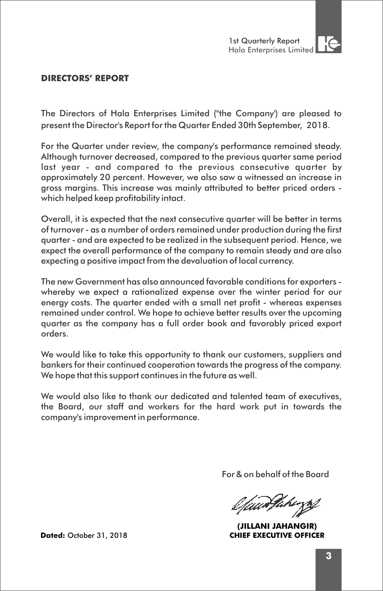

### **DIRECTORS' REPORT**

The Directors of Hala Enterprises Limited ("the Company') are pleased to present the Director's Report for the Quarter Ended 30th September, 2018.

For the Quarter under review, the company's performance remained steady. Although turnover decreased, compared to the previous quarter same period last year - and compared to the previous consecutive quarter by approximately 20 percent. However, we also saw a witnessed an increase in gross margins. This increase was mainly attributed to better priced orders which helped keep profitability intact.

Overall, it is expected that the next consecutive quarter will be better in terms of turnover - as a number of orders remained under production during the first quarter - and are expected to be realized in the subsequent period. Hence, we expect the overall performance of the company to remain steady and are also expecting a positive impact from the devaluation of local currency.

The new Government has also announced favorable conditions for exporters whereby we expect a rationalized expense over the winter period for our energy costs. The quarter ended with a small net profit - whereas expenses remained under control. We hope to achieve better results over the upcoming quarter as the company has a full order book and favorably priced export orders.

We would like to take this opportunity to thank our customers, suppliers and bankers for their continued cooperation towards the progress of the company. We hope that this support continues in the future as well.

We would also like to thank our dedicated and talented team of executives, the Board, our staff and workers for the hard work put in towards the company's improvement in performance.

For & on behalf of the Board

Vaad Pahings

**(JILLANI JAHANGIR) Dated:** October 31, 2018 **CHIEF EXECUTIVE OFFICER**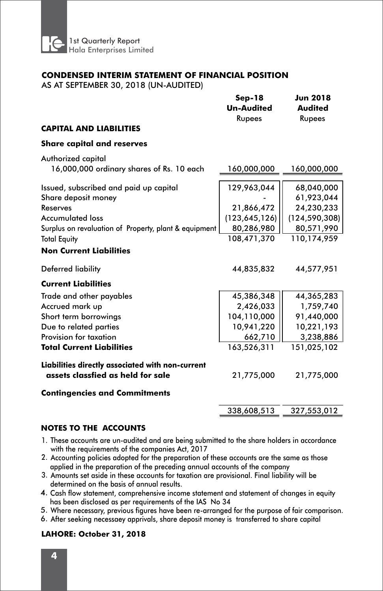

#### **CONDENSED INTERIM STATEMENT OF FINANCIAL POSITION**

AS AT SEPTEMBER 30, 2018 (UN-AUDITED)

|                                                                                       | $Sep-18$<br><b>Un-Audited</b><br>Rupees | <b>Jun 2018</b><br><b>Audited</b><br>Rupees |  |
|---------------------------------------------------------------------------------------|-----------------------------------------|---------------------------------------------|--|
| <b>CAPITAL AND LIABILITIES</b>                                                        |                                         |                                             |  |
| <b>Share capital and reserves</b>                                                     |                                         |                                             |  |
| Authorized capital<br>16,000,000 ordinary shares of Rs. 10 each                       | 160,000,000                             | 160,000,000                                 |  |
| Issued, subscribed and paid up capital<br>Share deposit money                         | 129,963,044                             | 68,040,000<br>61,923,044                    |  |
| Reserves                                                                              | 21,866,472                              | 24,230,233                                  |  |
| <b>Accumulated loss</b>                                                               | (123, 645, 126)                         | (124, 590, 308)                             |  |
| Surplus on revaluation of Property, plant & equipment                                 | 80,286,980                              | 80,571,990                                  |  |
| <b>Total Equity</b>                                                                   | 108,471,370                             | 110,174,959                                 |  |
| <b>Non Current Liabilities</b>                                                        |                                         |                                             |  |
| Deferred liability                                                                    | 44,835,832                              | 44,577,951                                  |  |
| <b>Current Liabilities</b>                                                            |                                         |                                             |  |
| Trade and other payables                                                              | 45,386,348                              | 44,365,283                                  |  |
| Accrued mark up                                                                       | 2,426,033                               | 1,759,740                                   |  |
| Short term borrowings                                                                 | 104,110,000                             | 91,440,000                                  |  |
| Due to related parties                                                                | 10,941,220                              | 10,221,193                                  |  |
| Provision for taxation                                                                | 662,710                                 | 3,238,886                                   |  |
| <b>Total Current Liabilities</b>                                                      | 163,526,311                             | 151,025,102                                 |  |
| Liabilities directly associated with non-current<br>assets classfied as held for sale | 21,775,000                              | 21,775,000                                  |  |
| <b>Contingencies and Commitments</b>                                                  |                                         |                                             |  |
|                                                                                       | 338,608,513                             | 327,553,012                                 |  |

#### **NOTES TO THE ACCOUNTS**

- 1. These accounts are un-audited and are being submitted to the share holders in accordance with the requirements of the companies Act, 2017
- Accounting policies adopted for the preparation of these accounts are the same as those 2. applied in the preparation of the preceding annual accounts of the company
- Amounts set aside in these accounts for taxation are provisional. Final liability will be 3. determined on the basis of annual results.
- 4. Cash flow statement, comprehensive income statement and statement of changes in equity has been disclosed as per requirements of the IAS No 34
- 5. Where necessary, previous figures have been re-arranged for the purpose of fair comparison.
- 6. After seeking necessaey apprivals, share deposit money is transferred to share capital

#### **LAHORE: October 31, 2018**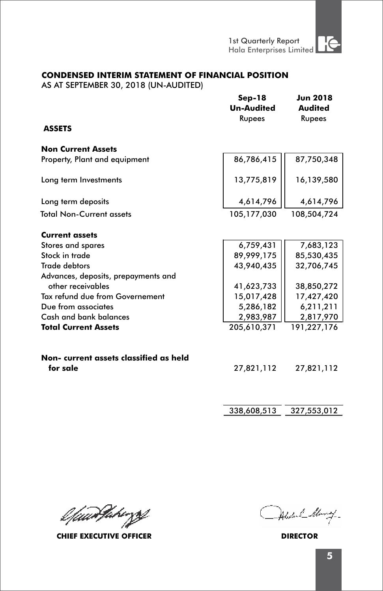#### **CONDENSED INTERIM STATEMENT OF FINANCIAL POSITION**

AS AT SEPTEMBER 30, 2018 (UN-AUDITED)

|                                                    | $Sep-18$<br><b>Un-Audited</b><br>Rupees | <b>Jun 2018</b><br><b>Audited</b><br>Rupees |
|----------------------------------------------------|-----------------------------------------|---------------------------------------------|
| <b>ASSETS</b>                                      |                                         |                                             |
| <b>Non Current Assets</b>                          |                                         |                                             |
| Property, Plant and equipment                      | 86,786,415                              | 87,750,348                                  |
| Long term Investments                              | 13,775,819                              | 16,139,580                                  |
| Long term deposits                                 | 4,614,796                               | 4,614,796                                   |
| <b>Total Non-Current assets</b>                    | 105,177,030                             | 108,504,724                                 |
| <b>Current assets</b>                              |                                         |                                             |
| Stores and spares                                  | 6,759,431                               | 7,683,123                                   |
| Stock in trade                                     | 89,999,175                              | 85,530,435                                  |
| <b>Trade debtors</b>                               | 43,940,435                              | 32,706,745                                  |
| Advances, deposits, prepayments and                |                                         |                                             |
| other receivables                                  | 41,623,733                              | 38,850,272                                  |
| Tax refund due from Governement                    | 15,017,428                              | 17,427,420                                  |
| Due from associates                                | 5,286,182                               | 6,211,211                                   |
| Cash and bank balances                             | 2,983,987                               | 2,817,970                                   |
| <b>Total Current Assets</b>                        | 205,610,371                             | 191,227,176                                 |
| Non- current assets classified as held<br>for sale | 27,821,112                              | 27,821,112                                  |
|                                                    |                                         |                                             |

338,608,513 327,553,012

l*fuanJakirzy* 

**CHIEF EXECUTIVE OFFICER DIRECTOR**

Abstral Many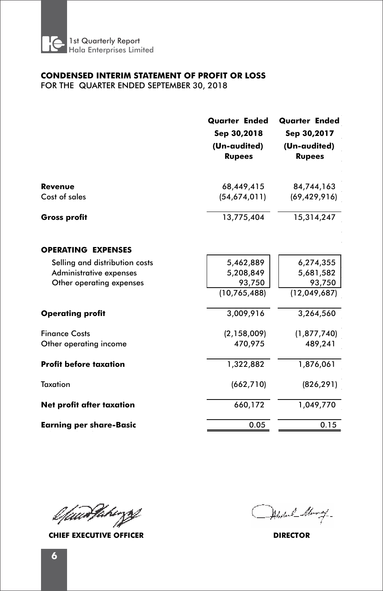

#### **CONDENSED INTERIM STATEMENT OF PROFIT OR LOSS**  FOR THE QUARTER ENDED SEPTEMBER 30, 2018

**Revenue**  Cost of sales **Gross profit OPERATING EXPENSES** Selling and distribution costs Administrative expenses Other operating expenses **Operating profit** Finance Costs Other operating income **Profit before taxation Taxation Net profit after taxation Quarter Ended Quarter Ended Sep 30,2018 Sep 30,2017 (Un-audited) (Un-audited) Rupees Rupees**  68,449,415 84,744,163  (54,674,011)  (69,429,916)  13,775,404 15,314,247 5,462,889  6,274,355  5,208,849  5,681,582  93,750 93,750 (10,765,488)(12,049,687)3,009,916 3,264,560 (2,158,009)  (1,877,740)  470,975 489,241  1,322,882 1,876,061 (662,710)  (826,291)  1,049,770 660,172

**Earning per share-Basic**

l*fuarfahe*zzt

**CHIEF EXECUTIVE OFFICER DIRECTOR**

0.050.15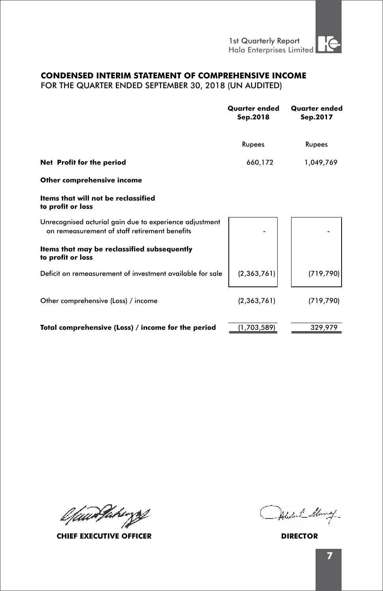## **CONDENSED INTERIM STATEMENT OF COMPREHENSIVE INCOME**

FOR THE QUARTER ENDED SEPTEMBER 30, 2018 (UN AUDITED)

|                                                                                                          | <b>Quarter ended</b><br>Sep.2018 | <b>Quarter ended</b><br>Sep.2017 |  |
|----------------------------------------------------------------------------------------------------------|----------------------------------|----------------------------------|--|
|                                                                                                          | Rupees                           | Rupees                           |  |
| Net Profit for the period                                                                                | 660,172                          | 1,049,769                        |  |
| Other comprehensive income                                                                               |                                  |                                  |  |
| Items that will not be reclassified<br>to profit or loss                                                 |                                  |                                  |  |
| Unrecognised acturial gain due to experience adjustment<br>on remeasurement of staff retirement benefits |                                  |                                  |  |
| Items that may be reclassified subsequently<br>to profit or loss                                         |                                  |                                  |  |
| Deficit on remeasurement of investment available for sale                                                | (2, 363, 761)                    | (719, 790)                       |  |
| Other comprehensive (Loss) / income                                                                      | (2,363,761)                      | (719, 790)                       |  |
| Total comprehensive (Loss) / income for the period                                                       | (1,703,589)                      | 329.979                          |  |

l*fuarfahergg* 

**CHIEF EXECUTIVE OFFICER DIRECTOR**

Abstral Many-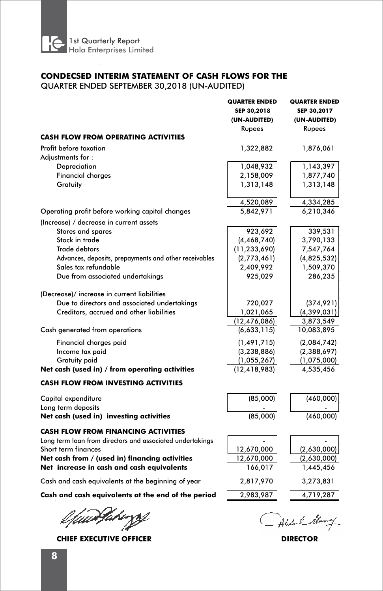

## **CONDECSED INTERIM STATEMENT OF CASH FLOWS FOR THE**

QUARTER ENDED SEPTEMBER 30,2018 (UN-AUDITED)

| <b>CASH FLOW FROM OPERATING ACTIVITIES</b>                                                                                                                                                                                    | <b>QUARTER ENDED</b><br>SEP 30,2018<br>(UN-AUDITED)<br>Rupees | <b>QUARTER ENDED</b><br>SEP 30,2017<br>(UN-AUDITED)<br>Rupees |
|-------------------------------------------------------------------------------------------------------------------------------------------------------------------------------------------------------------------------------|---------------------------------------------------------------|---------------------------------------------------------------|
|                                                                                                                                                                                                                               |                                                               |                                                               |
| Profit before taxation                                                                                                                                                                                                        | 1,322,882                                                     | 1,876,061                                                     |
| Adjustments for:                                                                                                                                                                                                              |                                                               |                                                               |
| Depreciation                                                                                                                                                                                                                  | 1,048,932                                                     | 1,143,397                                                     |
| <b>Financial charges</b>                                                                                                                                                                                                      | 2,158,009                                                     | 1,877,740                                                     |
| Gratuity                                                                                                                                                                                                                      | 1,313,148                                                     | 1,313,148                                                     |
|                                                                                                                                                                                                                               | 4,520,089                                                     | 4,334,285                                                     |
| Operating profit before working capital changes                                                                                                                                                                               | 5,842,971                                                     | 6,210,346                                                     |
| (Increase) / decrease in current assets                                                                                                                                                                                       |                                                               |                                                               |
| Stores and spares                                                                                                                                                                                                             | 923,692                                                       | 339,531                                                       |
| Stock in trade                                                                                                                                                                                                                | (4, 468, 740)                                                 | 3,790,133                                                     |
| <b>Trade debtors</b>                                                                                                                                                                                                          | (11, 233, 690)                                                | 7,547,764                                                     |
| Advances, deposits, prepayments and other receivables                                                                                                                                                                         | (2,773,461)                                                   | (4,825,532)                                                   |
| Sales tax refundable                                                                                                                                                                                                          | 2,409,992                                                     | 1,509,370                                                     |
| Due from associated undertakings                                                                                                                                                                                              | 925,029                                                       | 286,235                                                       |
| (Decrease)/ increase in current liabilities<br>Due to directors and associated undertakings<br>Creditors, accrued and other liabilities                                                                                       | 720,027<br>1,021,065<br>(12,476,086)                          | (374, 921)<br>(4, 399, 031)<br>3,873,549                      |
| Cash generated from operations                                                                                                                                                                                                | (6,633,115)                                                   | 10,083,895                                                    |
|                                                                                                                                                                                                                               |                                                               |                                                               |
| Financial charges paid                                                                                                                                                                                                        | (1, 491, 715)                                                 | (2,084,742)                                                   |
| Income tax paid                                                                                                                                                                                                               | (3, 238, 886)                                                 | (2,388,697)                                                   |
| <b>Gratuity paid</b>                                                                                                                                                                                                          | (1,055,267)                                                   | (1,075,000)                                                   |
| Net cash (used in) / from operating activities                                                                                                                                                                                | (12, 418, 983)                                                | 4,535,456                                                     |
| <b>CASH FLOW FROM INVESTING ACTIVITIES</b>                                                                                                                                                                                    |                                                               |                                                               |
| Capital expenditure                                                                                                                                                                                                           | (85,000)                                                      | (460,000)                                                     |
| Long term deposits                                                                                                                                                                                                            |                                                               |                                                               |
| Net cash (used in) investing activities                                                                                                                                                                                       | (85,000)                                                      | (460,000)                                                     |
| <b>CASH FLOW FROM FINANCING ACTIVITIES</b><br>Long term loan from directors and associated undertakings<br>Short term finances<br>Net cash from / (used in) financing activities<br>Net increase in cash and cash equivalents | 12,670,000<br>12,670,000<br>166,017                           | (2,630,000)<br>(2,630,000)<br>1,445,456                       |
| Cash and cash equivalents at the beginning of year                                                                                                                                                                            | 2,817,970                                                     | 3,273,831                                                     |
| Cash and cash equivalents at the end of the period                                                                                                                                                                            | 2,983,987                                                     | 4,719,287                                                     |
|                                                                                                                                                                                                                               |                                                               |                                                               |

l*fuur*Varinzs

**CHIEF EXECUTIVE OFFICER DIRECTOR**

Abstral Many-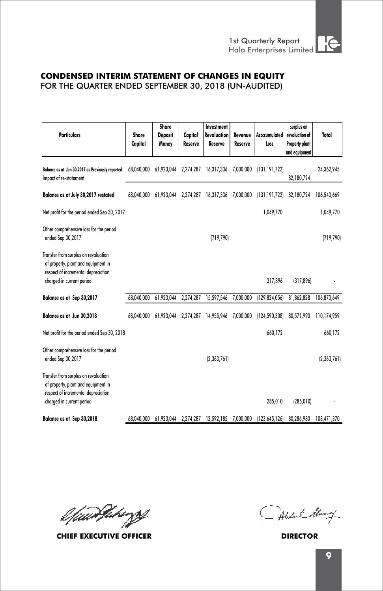## **CONDENSED INTERIM STATEMENT OF CHANGES IN EQUITY**

FOR THE QUARTER ENDED SEPTEMBER 30, 2018 (UN-AUDITED)

| <b>Particulars</b>                                                                                                                              | Share<br>Capital | Share<br><b>Deposit</b><br>Money | Capital<br>Reserve | Investment<br><b>Revaluation</b><br>Reserve | Revenue<br>Reserve | Accccumulated<br>Loss | surplus on<br>revaluation of<br><b>Property plant</b><br>and equipment | Total       |
|-------------------------------------------------------------------------------------------------------------------------------------------------|------------------|----------------------------------|--------------------|---------------------------------------------|--------------------|-----------------------|------------------------------------------------------------------------|-------------|
| Balance as at Jun 30,2017 as Previously reported<br>Impact of re-statement                                                                      | 68.040.000       | 61,923,044                       | 2,274,287          | 16,317,336                                  | 7,000,000          | (131, 191, 722)       | 82,180,724                                                             | 24,362,945  |
| Balance as at July 30,2017 restated                                                                                                             | 68.040.000       | 61,923,044                       |                    | 2,274,287 16,317,336                        | 7,000,000          | (131, 191, 722)       | 82,180,724                                                             | 106,543,669 |
| Net profit for the period ended Sep 30, 2017                                                                                                    |                  |                                  |                    |                                             |                    | 1.049.770             |                                                                        | 1,049,770   |
| Other comprehensive loss for the period<br>ended Sep 30,2017                                                                                    |                  |                                  |                    | (719, 790)                                  |                    |                       |                                                                        | (719, 790)  |
| Transfer from surplus on revaluation<br>of property, plant and equipment in<br>respect of incremental depreciation<br>charged in current period |                  |                                  |                    |                                             |                    | 317,896               | (317, 896)                                                             |             |
| Balance as at Sep 30,2017                                                                                                                       | 68,040,000       | 61,923,044                       | 2,274,287          | 15,597,546                                  | 7,000,000          | (129, 824, 056)       | 81,862,828                                                             | 106,873,649 |
| Balance as at Jun 30,2018                                                                                                                       | 68.040.000       | 61.923.044                       | 2,274,287          | 14,955,946                                  | 7,000,000          | (124.590.308)         | 80.571.990                                                             | 110,174,959 |
| Net profit for the period ended Sep 30, 2018                                                                                                    |                  |                                  |                    |                                             |                    | 660,172               |                                                                        | 660,172     |
| Other comprehensive loss for the period<br>ended Sep 30,2017                                                                                    |                  |                                  |                    | (2,363,761)                                 |                    |                       |                                                                        | (2,363,761) |
| Transfer from surplus on revaluation<br>of property, plant and equipment in<br>respect of incremental depreciation<br>charged in current period |                  |                                  |                    |                                             |                    | 285,010               | (285, 010)                                                             |             |
| Balance as at Sep 30,2018                                                                                                                       | 68,040,000       | 61,923,044                       | 2,274,287          | 12,592,185                                  | 7,000,000          | (123, 645, 126)       | 80,286,980                                                             | 108,471,370 |

l*fuarfahergg* 

**CHIEF EXECUTIVE OFFICER DIRECTOR**

Alsolan Collemay